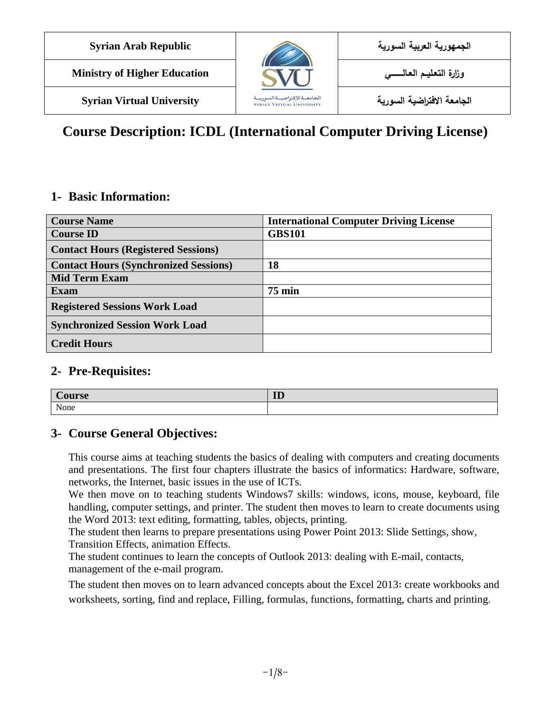

**الجامعة االفتراضية السورية University Virtual Syrian**

# **Course Description: ICDL (International Computer Driving License)**

### **1- Basic Information:**

| <b>Course Name</b>                           | <b>International Computer Driving License</b> |
|----------------------------------------------|-----------------------------------------------|
| <b>Course ID</b>                             | <b>GBS101</b>                                 |
| <b>Contact Hours (Registered Sessions)</b>   |                                               |
| <b>Contact Hours (Synchronized Sessions)</b> | 18                                            |
| <b>Mid Term Exam</b>                         |                                               |
| <b>Exam</b>                                  | $75 \text{ min}$                              |
| <b>Registered Sessions Work Load</b>         |                                               |
| <b>Synchronized Session Work Load</b>        |                                               |
| <b>Credit Hours</b>                          |                                               |

### **2- Pre-Requisites:**

| $\sim$<br>ourse | ID |
|-----------------|----|
| None            |    |

### **3- Course General Objectives:**

This course aims at teaching students the basics of dealing with computers and creating documents and presentations. The first four chapters illustrate the basics of informatics: Hardware, software, networks, the Internet, basic issues in the use of ICTs.

We then move on to teaching students Windows7 skills: windows, icons, mouse, keyboard, file handling, computer settings, and printer. The student then moves to learn to create documents using the Word 2013: text editing, formatting, tables, objects, printing.

The student then learns to prepare presentations using Power Point 2013: Slide Settings, show, Transition Effects, animation Effects.

The student continues to learn the concepts of Outlook 2013: dealing with E-mail, contacts, management of the e-mail program.

The student then moves on to learn advanced concepts about the Excel 2013: create workbooks and worksheets, sorting, find and replace, Filling, formulas, functions, formatting, charts and printing.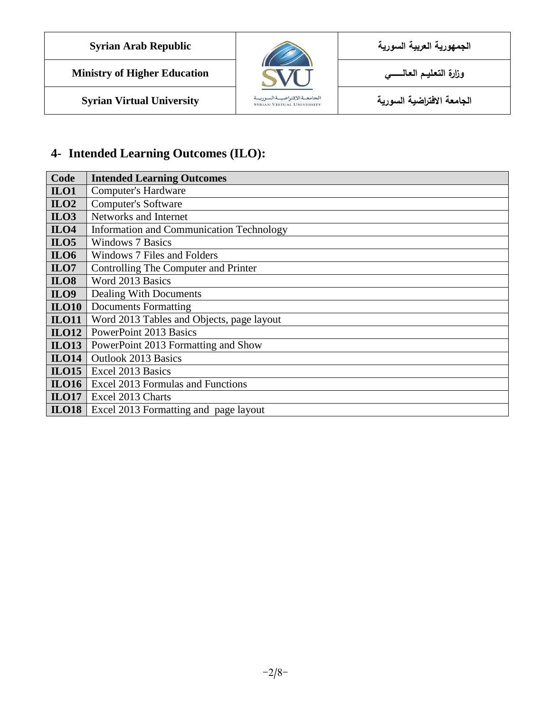

**Ministry of Higher Education العـالـــــــــي التعـليــم وزارة**

**الجامعة االفتراضية السورية University Virtual Syrian**



## **4- Intended Learning Outcomes (ILO):**

| Code             | <b>Intended Learning Outcomes</b>                |
|------------------|--------------------------------------------------|
| ILO1             | <b>Computer's Hardware</b>                       |
| ILO2             | <b>Computer's Software</b>                       |
| ILO3             | Networks and Internet                            |
| ILO <sub>4</sub> | <b>Information and Communication Technology</b>  |
| ILO <sub>5</sub> | <b>Windows 7 Basics</b>                          |
| <b>ILO6</b>      | Windows 7 Files and Folders                      |
| ILO7             | Controlling The Computer and Printer             |
| <b>ILO8</b>      | Word 2013 Basics                                 |
| <b>ILO9</b>      | Dealing With Documents                           |
| <b>ILO10</b>     | <b>Documents Formatting</b>                      |
| <b>ILO11</b>     | Word 2013 Tables and Objects, page layout        |
| ILO12            | <b>PowerPoint 2013 Basics</b>                    |
| <b>ILO13</b>     | PowerPoint 2013 Formatting and Show              |
| <b>ILO14</b>     | <b>Outlook 2013 Basics</b>                       |
|                  | <b>ILO15</b>   Excel 2013 Basics                 |
|                  | <b>ILO16</b>   Excel 2013 Formulas and Functions |
| ILO17            | Excel 2013 Charts                                |
| <b>ILO18</b>     | Excel 2013 Formatting and page layout            |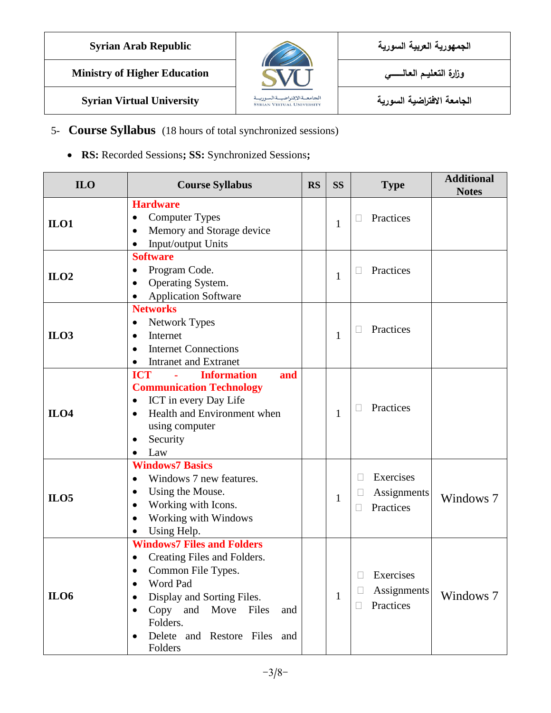

**Ministry of Higher Education العـالـــــــــي التعـليــم وزارة**



**الجامعة االفتراضية السورية University Virtual Syrian**

### 5- **Course Syllabus** (18 hours of total synchronized sessions)

**RS:** Recorded Sessions**; SS:** Synchronized Sessions**;** 

| <b>ILO</b> | <b>Course Syllabus</b>                                                                                                                                                                                                             | <b>RS</b> | <b>SS</b>    | <b>Type</b>                                          | <b>Additional</b><br><b>Notes</b> |
|------------|------------------------------------------------------------------------------------------------------------------------------------------------------------------------------------------------------------------------------------|-----------|--------------|------------------------------------------------------|-----------------------------------|
| ILO1       | <b>Hardware</b><br><b>Computer Types</b><br>Memory and Storage device<br>$\bullet$<br>Input/output Units                                                                                                                           |           | $\mathbf{1}$ | Practices<br>$\mathbf{I}$                            |                                   |
| ILO2       | <b>Software</b><br>Program Code.<br>Operating System.<br><b>Application Software</b>                                                                                                                                               |           | 1            | Practices<br>$\Box$                                  |                                   |
| ILO3       | <b>Networks</b><br><b>Network Types</b><br>$\bullet$<br>Internet<br>$\bullet$<br><b>Internet Connections</b><br>$\bullet$<br><b>Intranet and Extranet</b>                                                                          |           | 1            | Practices<br>Ш                                       |                                   |
| ILO4       | <b>Information</b><br><b>ICT</b><br>and<br><b>Communication Technology</b><br>ICT in every Day Life<br>Health and Environment when<br>$\bullet$<br>using computer<br>Security<br>Law                                               |           | 1            | Practices<br>$\Box$                                  |                                   |
| ILO5       | <b>Windows7 Basics</b><br>Windows 7 new features.<br>$\bullet$<br>Using the Mouse.<br>Working with Icons.<br>Working with Windows<br>Using Help.                                                                                   |           | $\mathbf{1}$ | Exercises<br>$\Box$<br>Assignments<br>Practices<br>П | Windows 7                         |
| ILO6       | <b>Windows7 Files and Folders</b><br>Creating Files and Folders.<br>Common File Types.<br>$\bullet$<br>Word Pad<br>Display and Sorting Files.<br>Copy and Move Files<br>and<br>Folders.<br>Delete and Restore Files and<br>Folders |           | $\mathbf{1}$ | Exercises<br>Assignments<br>Practices<br>$\Box$      | Windows 7                         |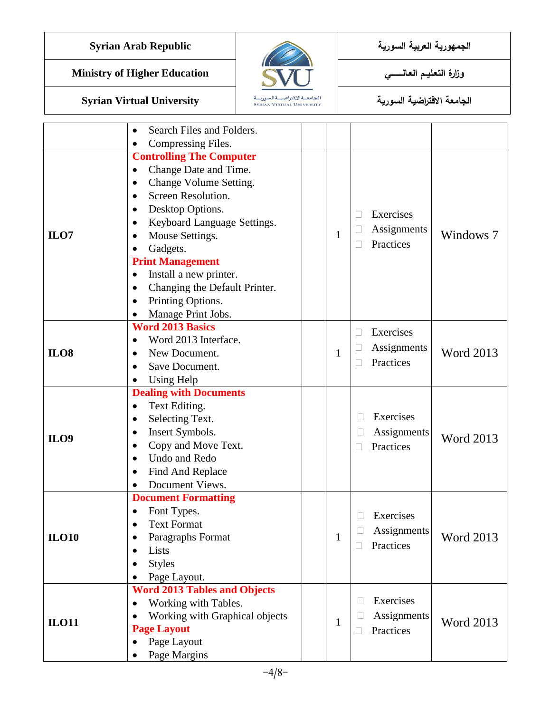**Ministry of Higher Education العـالـــــــــي التعـليــم وزارة**



**الجامعة االفتراضية السورية University Virtual Syrian**

|                  | Search Files and Folders.                                 |              |                           |                  |
|------------------|-----------------------------------------------------------|--------------|---------------------------|------------------|
|                  | Compressing Files.                                        |              |                           |                  |
|                  | <b>Controlling The Computer</b><br>Change Date and Time.  |              |                           |                  |
|                  | Change Volume Setting.<br>$\bullet$<br>Screen Resolution. |              |                           |                  |
|                  |                                                           |              |                           |                  |
|                  |                                                           |              |                           |                  |
|                  | Desktop Options.                                          |              | Exercises<br>$\mathbb{R}$ |                  |
| ILO7             | Keyboard Language Settings.                               | $\mathbf{1}$ | Assignments               | Windows 7        |
|                  | Mouse Settings.<br>Gadgets.                               |              | Practices                 |                  |
|                  | <b>Print Management</b>                                   |              |                           |                  |
|                  | Install a new printer.<br>٠                               |              |                           |                  |
|                  | Changing the Default Printer.                             |              |                           |                  |
|                  | Printing Options.<br>$\bullet$                            |              |                           |                  |
|                  | Manage Print Jobs.                                        |              |                           |                  |
|                  | <b>Word 2013 Basics</b>                                   |              |                           |                  |
|                  | Word 2013 Interface.                                      |              | Exercises<br>П            |                  |
| <b>ILO8</b>      | New Document.                                             | $\mathbf{1}$ | Assignments               | <b>Word 2013</b> |
|                  | Save Document.                                            |              | Practices<br>Г            |                  |
|                  | <b>Using Help</b>                                         |              |                           |                  |
|                  | <b>Dealing with Documents</b>                             |              |                           |                  |
|                  | Text Editing.<br>٠                                        |              |                           |                  |
|                  | Selecting Text.<br>٠                                      |              | Exercises                 |                  |
|                  | Insert Symbols.                                           |              | Assignments               |                  |
| ILO <sub>9</sub> | Copy and Move Text.                                       |              | Practices                 | <b>Word 2013</b> |
|                  | Undo and Redo<br>$\bullet$                                |              |                           |                  |
|                  | Find And Replace                                          |              |                           |                  |
|                  | Document Views.                                           |              |                           |                  |
|                  | <b>Document Formatting</b>                                |              |                           |                  |
|                  | Font Types.                                               |              | Exercises                 |                  |
|                  | <b>Text Format</b>                                        |              | Assignments               |                  |
| <b>ILO10</b>     | Paragraphs Format                                         | 1            | Practices                 | <b>Word 2013</b> |
|                  | Lists                                                     |              | Н                         |                  |
|                  | <b>Styles</b>                                             |              |                           |                  |
|                  | Page Layout.                                              |              |                           |                  |
|                  | <b>Word 2013 Tables and Objects</b>                       |              |                           |                  |
|                  | Working with Tables.                                      |              | Exercises                 |                  |
| <b>ILO11</b>     | Working with Graphical objects                            | 1            | Assignments               | <b>Word 2013</b> |
|                  | <b>Page Layout</b>                                        |              | Practices                 |                  |
|                  | Page Layout                                               |              |                           |                  |
|                  | Page Margins                                              |              |                           |                  |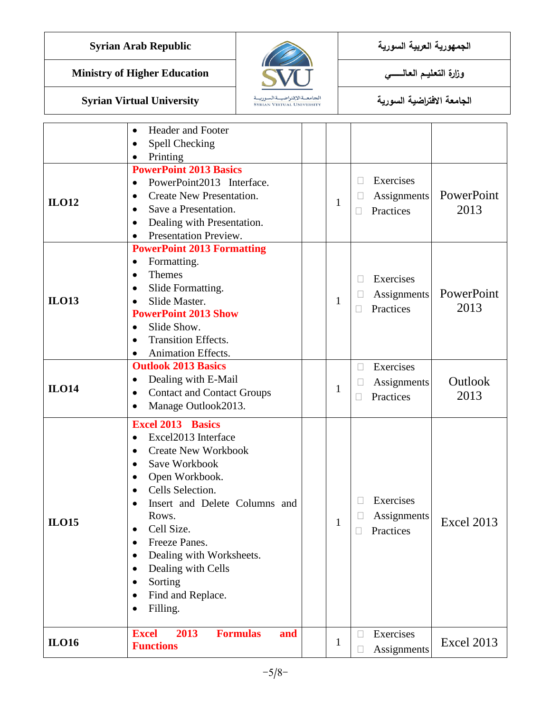**Ministry of Higher Education العـالـــــــــي التعـليــم وزارة**



**الجامعة االفتراضية السورية University Virtual Syrian**

#### • Header and Footer • Spell Checking • Printing PowerPoint 2013  $\Box$  Exercises Assignments **Practices** 1 **PowerPoint 2013 Basics** • PowerPoint2013 Interface. • Create New Presentation. Save a Presentation. • Dealing with Presentation. • Presentation Preview. **ILO12** PowerPoint 2013 □ Exercises  $\Box$  Assignments  $\Box$  Practices 1 **PowerPoint 2013 Formatting**  • Formatting. • Themes • Slide Formatting. • Slide Master. **PowerPoint 2013 Show** • Slide Show. • Transition Effects. • Animation Effects. **ILO13** Outlook 2013 **Exercises Assignments Practices** 1 **Outlook 2013 Basics** • Dealing with E-Mail • Contact and Contact Groups • Manage Outlook 2013. **ILO14** Excel 2013 **Exercises Assignments**  $\Box$  Practices 1 **Excel 2013 Basics** • Excel2013 Interface • Create New Workbook • Save Workbook • Open Workbook. • Cells Selection. • Insert and Delete Columns and Rows. • Cell Size. • Freeze Panes. • Dealing with Worksheets. • Dealing with Cells • Sorting • Find and Replace. Filling. **ILO15** Excel 2013 **Exercises**  $\begin{array}{c|c}\n1 & \text{A} \n\end{array}$  Assignments **Excel 2013 Formulas and Functions**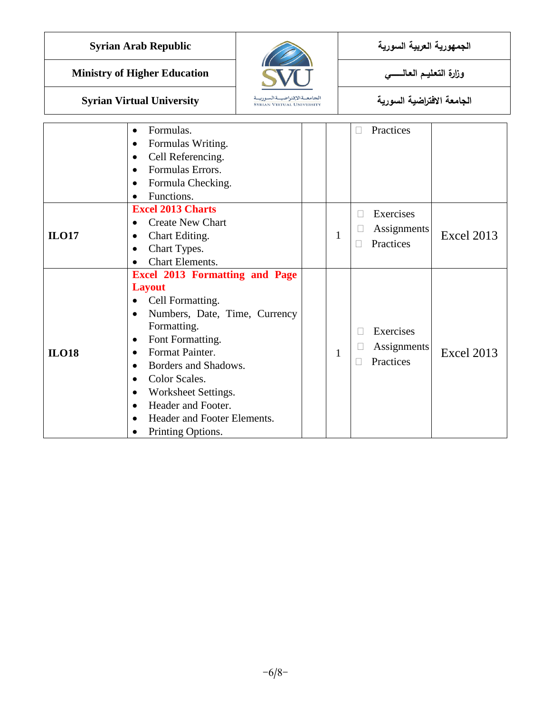**Ministry of Higher Education العـالـــــــــي التعـليــم وزارة**



# **الجامعة االفتراضية السورية University Virtual Syrian**

|              | Formulas.<br>$\bullet$<br>Formulas Writing.<br>$\bullet$<br>Cell Referencing.<br>$\bullet$<br>Formulas Errors.<br>$\bullet$<br>Formula Checking.<br>$\bullet$<br>Functions.                                                                                                                                                                                                                                      |              |              | Practices                             |                   |
|--------------|------------------------------------------------------------------------------------------------------------------------------------------------------------------------------------------------------------------------------------------------------------------------------------------------------------------------------------------------------------------------------------------------------------------|--------------|--------------|---------------------------------------|-------------------|
| <b>ILO17</b> | <b>Excel 2013 Charts</b><br><b>Create New Chart</b><br>Chart Editing.<br>٠<br>Chart Types.<br>$\bullet$<br>Chart Elements.                                                                                                                                                                                                                                                                                       | $\mathbf{1}$ | П            | Exercises<br>Assignments<br>Practices | <b>Excel 2013</b> |
| <b>ILO18</b> | <b>Excel 2013 Formatting and Page</b><br><b>Layout</b><br>Cell Formatting.<br>$\bullet$<br>Numbers, Date, Time, Currency<br>$\bullet$<br>Formatting.<br>Font Formatting.<br>$\bullet$<br>Format Painter.<br>٠<br>Borders and Shadows.<br>$\bullet$<br>Color Scales.<br>$\bullet$<br>Worksheet Settings.<br>٠<br>Header and Footer.<br>$\bullet$<br>Header and Footer Elements.<br>$\bullet$<br>Printing Options. | 1            | $\mathbb{R}$ | Exercises<br>Assignments<br>Practices | <b>Excel 2013</b> |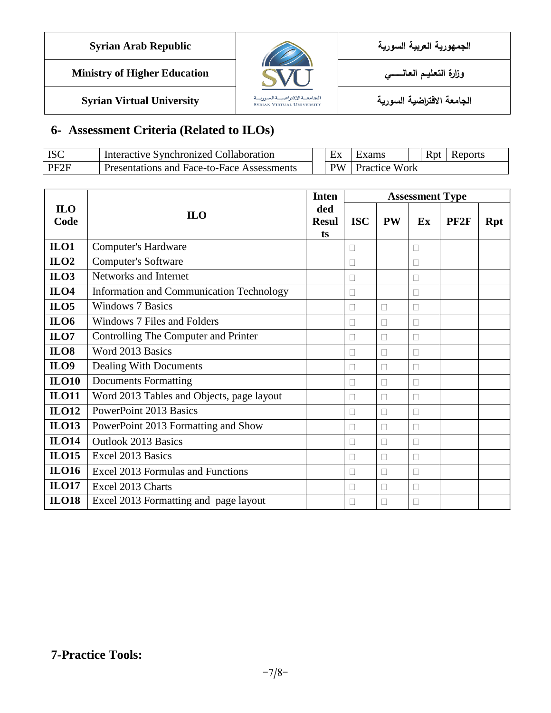| <b>Syrian Arab Republic</b> | <b>The Second Service</b> | الجمهورية العربية السورية |
|-----------------------------|---------------------------|---------------------------|
|                             |                           |                           |

**Ministry of Higher Education العـالـــــــــي التعـليــم وزارة**



**الجامعة االفتراضية السورية University Virtual Syrian**

# **6- Assessment Criteria (Related to ILOs)**

| ISC  | <sup>1</sup> Interactive Synchronized Collaboration | l iv                   |               |  | <b>R</b> nt | Reports |  |
|------|-----------------------------------------------------|------------------------|---------------|--|-------------|---------|--|
| PF2F | Presentations and Face-to-Face Assessments          | $\mathbf{D}\mathbf{W}$ | Practice Work |  |             |         |  |

|                    | <b>Inten</b><br><b>ILO</b><br><b>Resul</b> |  | <b>Assessment Type</b> |           |        |                  |            |  |
|--------------------|--------------------------------------------|--|------------------------|-----------|--------|------------------|------------|--|
| <b>ILO</b><br>Code |                                            |  | <b>ISC</b>             | <b>PW</b> | Ex     | PF <sub>2F</sub> | <b>Rpt</b> |  |
| $II 01$            | <b>Computer's Hardware</b>                 |  |                        |           | П      |                  |            |  |
| ILO2               | <b>Computer's Software</b>                 |  |                        |           | П      |                  |            |  |
| ILO3               | Networks and Internet                      |  |                        |           | П      |                  |            |  |
| <b>ILO4</b>        | Information and Communication Technology   |  | $\mathbf{L}$           |           | П      |                  |            |  |
| ILO5               | <b>Windows 7 Basics</b>                    |  |                        | П         | Г      |                  |            |  |
| <b>ILO6</b>        | Windows 7 Files and Folders                |  |                        | П         |        |                  |            |  |
| ILO7               | Controlling The Computer and Printer       |  |                        | П         | П      |                  |            |  |
| <b>ILO8</b>        | Word 2013 Basics                           |  |                        | П         | $\Box$ |                  |            |  |
| <b>ILO9</b>        | Dealing With Documents                     |  |                        | П         | Г      |                  |            |  |
| <b>ILO10</b>       | <b>Documents Formatting</b>                |  |                        | П         | П      |                  |            |  |
| <b>ILO11</b>       | Word 2013 Tables and Objects, page layout  |  | $\mathbf{L}$           | П         | П      |                  |            |  |
| <b>ILO12</b>       | <b>PowerPoint 2013 Basics</b>              |  |                        | П         | П      |                  |            |  |
| <b>ILO13</b>       | PowerPoint 2013 Formatting and Show        |  |                        | П         | Г      |                  |            |  |
| <b>ILO14</b>       | <b>Outlook 2013 Basics</b>                 |  |                        | П         | П      |                  |            |  |
| <b>ILO15</b>       | Excel 2013 Basics                          |  |                        | П         | П      |                  |            |  |
| <b>ILO16</b>       | Excel 2013 Formulas and Functions          |  |                        | П         | П      |                  |            |  |
| <b>ILO17</b>       | Excel 2013 Charts                          |  |                        | П         | Г      |                  |            |  |
| <b>ILO18</b>       | Excel 2013 Formatting and page layout      |  |                        | П         |        |                  |            |  |